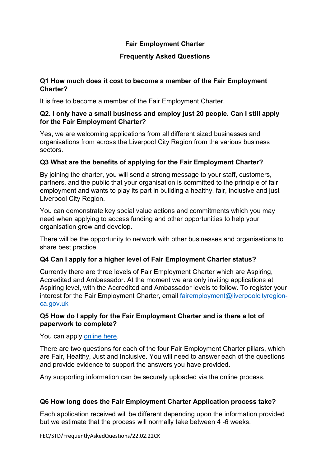### **Fair Employment Charter**

### **Frequently Asked Questions**

### **Q1 How much does it cost to become a member of the Fair Employment Charter?**

It is free to become a member of the Fair Employment Charter.

### **Q2. I only have a small business and employ just 20 people. Can I still apply for the Fair Employment Charter?**

Yes, we are welcoming applications from all different sized businesses and organisations from across the Liverpool City Region from the various business sectors.

## **Q3 What are the benefits of applying for the Fair Employment Charter?**

By joining the charter, you will send a strong message to your staff, customers, partners, and the public that your organisation is committed to the principle of fair employment and wants to play its part in building a healthy, fair, inclusive and just Liverpool City Region.

You can demonstrate key social value actions and commitments which you may need when applying to access funding and other opportunities to help your organisation grow and develop.

There will be the opportunity to network with other businesses and organisations to share best practice.

# **Q4 Can I apply for a higher level of Fair Employment Charter status?**

Currently there are three levels of Fair Employment Charter which are Aspiring, Accredited and Ambassador. At the moment we are only inviting applications at Aspiring level, with the Accredited and Ambassador levels to follow. To register your interest for the Fair Employment Charter, email [fairemployment@liverpoolcityregion](mailto:fairemployment@liverpoolcityregion-ca.gov.uk)[ca.gov.uk](mailto:fairemployment@liverpoolcityregion-ca.gov.uk)

### **Q5 How do I apply for the Fair Employment Charter and is there a lot of paperwork to complete?**

You can apply [online](https://www.liverpoolcityregion-ca.gov.uk/fair-employment/) here.

There are two questions for each of the four Fair Employment Charter pillars, which are Fair, Healthy, Just and Inclusive. You will need to answer each of the questions and provide evidence to support the answers you have provided.

Any supporting information can be securely uploaded via the online process.

### **Q6 How long does the Fair Employment Charter Application process take?**

Each application received will be different depending upon the information provided but we estimate that the process will normally take between 4 -6 weeks.